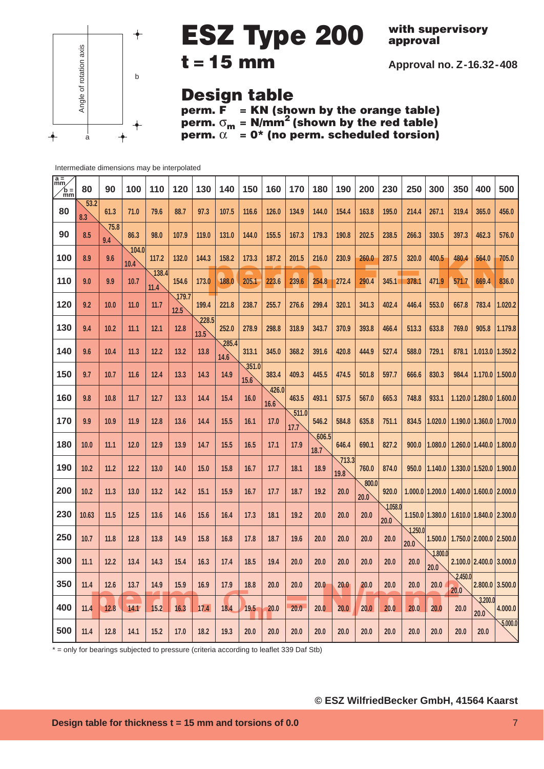

**with supervisory approval**

**Approval no. Z-16.32-408**

### **Design table**

**perm. F = KN (shown by the orange table) perm.** σ**<sup>m</sup> = N/mm2 (shown by the red table) perm.**  $\alpha$  = 0\* (no perm. scheduled torsion)

Intermediate dimensions may be interpolated

| $\frac{a}{\text{mm}}$<br>$\ln \frac{1}{2}$ | 80          | 90          | 100           | 110           | 120           | 130           | 140           | 150           | 160           | 170           | 180           | 190           | 200           | 230             | 250             | 300                 | 350             | 400                               | 500             |
|--------------------------------------------|-------------|-------------|---------------|---------------|---------------|---------------|---------------|---------------|---------------|---------------|---------------|---------------|---------------|-----------------|-----------------|---------------------|-----------------|-----------------------------------|-----------------|
| 80                                         | 53.2<br>8.3 | 61.3        | 71.0          | 79.6          | 88.7          | 97.3          | 107.5         | 116.6         | 126.0         | 134.9         | 144.0         | 154.4         | 163.8         | 195.0           | 214.4           | 267.1               | 319.4           | 365.0                             | 456.0           |
| 90                                         | 8.5         | 75.8<br>9.4 | 86.3          | 98.0          | 107.9         | 119.0         | 131.0         | 144.0         | 155.5         | 167.3         | 179.3         | 190.8         | 202.5         | 238.5           | 266.3           | 330.5               | 397.3           | 462.3                             | 576.0           |
| 100                                        | 8.9         | 9.6         | 104.0<br>10.4 | 117.2         | 132.0         | 144.3         | 158.2         | 173.3         | 187.2         | 201.5         | 216.0         | 230.9         | 260.0         | 287.5           | 320.0           | 400.5               | 480.4           | 564.0                             | 705.0           |
| 110                                        | 9.0         | 9.9         | 10.7          | 138.4<br>11.4 | 154.6         | 173.0         | 188.0         | 205.1         | 223.6         | 239.6         | 254.8         | 272.4         | 290.4         | 345.1           | 378.1           | 471.9               | 571.7           | 669.4                             | 836.0           |
| 120                                        | 9.2         | 10.0        | 11.0          | 11.7          | 179.7<br>12.5 | 199.4         | 221.8         | 238.7         | 255.7         | 276.6         | 299.4         | 320.1         | 341.3         | 402.4           | 446.4           | 553.0               | 667.8           | 783.4                             | 1.020.2         |
| 130                                        | 9.4         | 10.2        | 11.1          | 12.1          | 12.8          | 228.5<br>13.5 | 252.0         | 278.9         | 298.8         | 318.9         | 343.7         | 370.9         | 393.8         | 466.4           | 513.3           | 633.8               | 769.0           | 905.8                             | 1.179.8         |
| 140                                        | 9.6         | 10.4        | 11.3          | 12.2          | 13.2          | 13.8          | 285.4<br>14.6 | 313.1         | 345.0         | 368.2         | 391.6         | 420.8         | 444.9         | 527.4           | 588.0           | 729.1               | 878.1           | 1.013.0                           | 1.350.2         |
| 150                                        | 9.7         | 10.7        | 11.6          | 12.4          | 13.3          | 14.3          | 14.9          | 351.0<br>15.6 | 383.4         | 409.3         | 445.5         | 474.5         | 501.8         | 597.7           | 666.6           | 830.3               | 984.4           | 1.170.0 1.500.0                   |                 |
| 160                                        | 9.8         | 10.8        | 11.7          | 12.7          | 13.3          | 14.4          | $15.4$        | 16.0          | 426.0<br>16.6 | 463.5         | 493.1         | 537.5         | 567.0         | 665.3           | 748.8           | 933.1               |                 | 1.120.0 1.280.0 1.600.0           |                 |
| 170                                        | 9.9         | 10.9        | 11.9          | 12.8          | 13.6          | 14.4          | 15.5          | 16.1          | 17.0          | 511.0<br>17.7 | 546.2         | 584.8         | 635.8         | 751.1           | 834.5           | 1.020.0             |                 | $1.190.0$   1.360.0               | 1.700.0         |
| 180                                        | 10.0        | 11.1        | 12.0          | 12.9          | 13.9          | 14.7          | 15.5          | 16.5          | 17.1          | 17.9          | 606.5<br>18.7 | 646.4         | 690.1         | 827.2           | 900.0           | 1.080.0             |                 | 1.260.0 1.440.0                   | 1.800.0         |
| 190                                        | 10.2        | 11.2        | 12.2          | 13.0          | 14.0          | 15.0          | 15.8          | 16.7          | 17.7          | 18.1          | 18.9          | 713.3<br>19.8 | 760.0         | 874.0           | 950.0           | 1.140.0             |                 | $1.330.0$   $1.520.0$   $1.900.0$ |                 |
| 200                                        | 10.2        | 11.3        | 13.0          | 13.2          | 14.2          | 15.1          | 15.9          | 16.7          | 17.7          | 18.7          | 19.2          | 20.0          | 800.0<br>20.0 | 920.0           |                 | $1.000.0$   1.200.0 |                 | $1.400.0$   $1.600.0$   $2.000.0$ |                 |
| 230                                        | 10.63       | 11.5        | 12.5          | 13.6          | 14.6          | 15.6          | 16.4          | 17.3          | 18.1          | 19.2          | 20.0          | 20.0          | 20.0          | 1.058.0<br>20.0 |                 | $1.150.0$   1.380.0 |                 | $1.610.0$   1.840.0   2.300.0     |                 |
| 250                                        | 10.7        | 11.8        | 12.8          | 13.8          | 14.9          | 15.8          | 16.8          | 17.8          | 18.7          | 19.6          | 20.0          | 20.0          | 20.0          | 20.0            | 1.250.0<br>20.0 | 1.500.0             |                 | 1.750.0 2.000.0 2.500.0           |                 |
| 300                                        | 11.1        | 12.2        | 13.4          | 14.3          | 15.4          | 16.3          | 17.4          | 18.5          | 19.4          | 20.0          | 20.0          | 20.0          | 20.0          | 20.0            | 20.0            | 1.800.0<br>20.0     |                 | $2.100.0$ 2.400.0                 | 3.000.0         |
| 350                                        | 11.4        | 12.6        | 13.7          | 14.9          | 15.9          | 16.9          | 17.9          | 18.8          | 20.0          | 20.0          | 20.0          | 20.0          | 20.0          | 20.0            | 20.0            | 20.0                | 2.450.0<br>20.0 |                                   | 2.800.0 3.500.0 |
| 400                                        | 11.4        | 12.8        | 14.1          | 15.2          | 16.3          | 17.4          | 18.4          | 19.5          | 20.0          | 20.0          | 20.0          | 20.0          | 20.0          | 20.0            | 20.0            | 20.0                | 20.0            | 3.200.0<br>20.0                   | 4.000.0         |
| 500                                        | 11.4        | 12.8        | 14.1          | 15.2          | 17.0          | 18.2          | 19.3          | 20.0          | 20.0          | 20.0          | 20.0          | 20.0          | 20.0          | 20.0            | 20.0            | 20.0                | 20.0            | 20.0                              | 5,000.0         |

\* = only for bearings subjected to pressure (criteria according to leaflet 339 Daf Stb)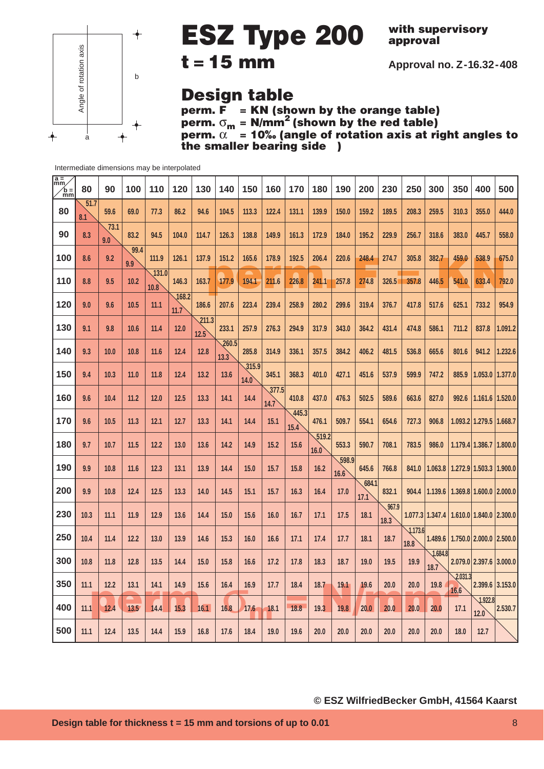

**with supervisory approval**

**Approval no. Z-16.32-408**

### **Design table**

**perm. F = KN (shown by the orange table) perm.** σ**<sup>m</sup> = N/mm2 (shown by the red table) perm.** α **= 10‰ (angle of rotation axis at right angles to** *the smaller bearing side* )

| $\sqrt{\frac{a}{mm}}$<br>$\ln \frac{1}{2}$ | 80          | 90          | 100         | 110           | 120           | 130           | 140                    | 150           | 160           | 170           | 180           | 190           | 200           | 230           | 250             | 300             | 350             | 400                                           | 500     |
|--------------------------------------------|-------------|-------------|-------------|---------------|---------------|---------------|------------------------|---------------|---------------|---------------|---------------|---------------|---------------|---------------|-----------------|-----------------|-----------------|-----------------------------------------------|---------|
| 80                                         | 51.7<br>8.1 | 59.6        | 69.0        | 77.3          | 86.2          | 94.6          | 104.5                  | 113.3         | 122.4         | 131.1         | 139.9         | 150.0         | 159.2         | 189.5         | 208.3           | 259.5           | 310.3           | 355.0                                         | 444.0   |
| 90                                         | 8.3         | 73.1<br>9.0 | 83.2        | 94.5          | 104.0         | 114.7         | 126.3                  | 138.8         | 149.9         | 161.3         | 172.9         | 184.0         | 195.2         | 229.9         | 256.7           | 318.6           | 383.0           | 445.7                                         | 558.0   |
| 100                                        | 8.6         | 9.2         | 99.4<br>9.9 | 111.9         | 126.1         | 137.9         | 151.2                  | 165.6         | 178.9         | 192.5         | 206.4         | 220.6         | 248.4         | 274.7         | 305.8           | 382.7           | 459.0           | 538.9                                         | 675.0   |
| 110                                        | 8.8         | 9.5         | 10.2        | 131.0<br>10.8 | 146.3         | 163.7         | 177.9                  | 194.1         | 211.6         | 226.8         | 241.1         | 257.8         | 274.8         | 326.5         | 357.8           | 446.5           | 541.0           | 633.4                                         | 792.0   |
| 120                                        | 9.0         | 9.6         | 10.5        | 11.1          | 168.2<br>11.7 | 186.6         | 207.6                  | 223.4         | 239.4         | 258.9         | 280.2         | 299.6         | 319.4         | 376.7         | 417.8           | 517.6           | 625.1           | 733.2                                         | 954.9   |
| 130                                        | 9.1         | 9.8         | 10.6        | 11.4          | 12.0          | 211.3<br>12.5 | 233.1                  | 257.9         | 276.3         | 294.9         | 317.9         | 343.0         | 364.2         | 431.4         | 474.8           | 586.1           | 711.2           | 837.8                                         | 1.091.2 |
| 140                                        | 9.3         | 10.0        | 10.8        | 11.6          | 12.4          | 12.8          | $\sqrt{260.5}$<br>13.3 | 285.8         | 314.9         | 336.1         | 357.5         | 384.2         | 406.2         | 481.5         | 536.8           | 665.6           | 801.6           | 941.2                                         | 1.232.6 |
| 150                                        | 9.4         | 10.3        | 11.0        | 11.8          | 12.4          | 13.2          | 13.6                   | 315.9<br>14.0 | 345.1         | 368.3         | 401.0         | 427.1         | 451.6         | 537.9         | 599.9           | 747.2           | 885.9           | 1.053.0 1.377.0                               |         |
| 160                                        | 9.6         | 10.4        | 11.2        | 12.0          | 12.5          | 13.3          | 14.1                   | 14.4          | 377.5<br>14.7 | 410.8         | 437.0         | 476.3         | 502.5         | 589.6         | 663.6           | 827.0           |                 | 992.6   1.161.6   1.520.0                     |         |
| 170                                        | 9.6         | 10.5        | 11.3        | 12.1          | 12.7          | 13.3          | 14.1                   | 14.4          | 15.1          | 445.3<br>15.4 | 476.1         | 509.7         | 554.1         | 654.6         | 727.3           | 906.8           |                 | 1.093.2 1.279.5 1.668.7                       |         |
| 180                                        | 9.7         | 10.7        | 11.5        | 12.2          | 13.0          | 13.6          | 14.2                   | 14.9          | 15.2          | 15.6          | 519.2<br>16.0 | 553.3         | 590.7         | 708.1         | 783.5           | 986.0           |                 | 1.179.4 1.386.7 1.800.0                       |         |
| 190                                        | 9.9         | 10.8        | 11.6        | 12.3          | 13.1          | 13.9          | 14.4                   | 15.0          | 15.7          | 15.8          | 16.2          | 598.9<br>16.6 | 645.6         | 766.8         | 841.0           | 1.063.8         |                 | 1.272.9 1.503.3 1.900.0                       |         |
| 200                                        | 9.9         | 10.8        | 12.4        | 12.5          | 13.3          | 14.0          | 14.5                   | 15.1          | 15.7          | 16.3          | 16.4          | 17.0          | 684.1<br>17.1 | 832.1         |                 |                 |                 | 904.4   1.139.6   1.369.8   1.600.0   2.000.0 |         |
| 230                                        | 10.3        | 11.1        | 11.9        | 12.9          | 13.6          | 14.4          | 15.0                   | 15.6          | 16.0          | 16.7          | 17.1          | 17.5          | 18.1          | 967.9<br>18.3 |                 | 1.077.3 1.347.4 |                 | $1.610.0$   1.840.0   2.300.0                 |         |
| 250                                        | 10.4        | 11.4        | 12.2        | 13.0          | 13.9          | 14.6          | 15.3                   | 16.0          | 16.6          | 17.1          | 17.4          | 17.7          | 18.1          | 18.7          | 1.173.6<br>18.8 | 1.489.6         |                 | $1.750.0$   2.000.0   2.500.0                 |         |
| 300                                        | 10.8        | 11.8        | 12.8        | 13.5          | 14.4          | 15.0          | 15.8                   | 16.6          | 17.2          | 17.8          | 18.3          | 18.7          | 19.0          | 19.5          | 19.9            | 1.684.8<br>18.7 |                 | 2.079.0 2.397.6 3.000.0                       |         |
| 350                                        | 11.1        | 12.2        | 13.1        | 14.1          | 14.9          | 15.6          | 16.4                   | 16.9          | 17.7          | 18.4          | 18.7          | 19.1          | 19.6          | 20.0          | 20.0            | 19.8            | 2.031.3<br>16.6 | 2.399.6 3.153.0                               |         |
| 400                                        | 11.1        | 12.4        | 13.5        | 14.4          | 15.3          | 16.1          | 16.8                   | 17.6          | 18.1          | 18.8          | 19.3          | 19.8          | 20.0          | 20.0          | 20.0            | 20.0            | 17.1            | 1.922.8<br>12.0                               | 2.530.7 |
| 500                                        | 11.1        | 12.4        | 13.5        | 14.4          | 15.9          | 16.8          | 17.6                   | 18.4          | 19.0          | 19.6          | 20.0          | 20.0          | 20.0          | 20.0          | 20.0            | 20.0            | 18.0            | 12.7                                          |         |

#### Intermediate dimensions may be interpolated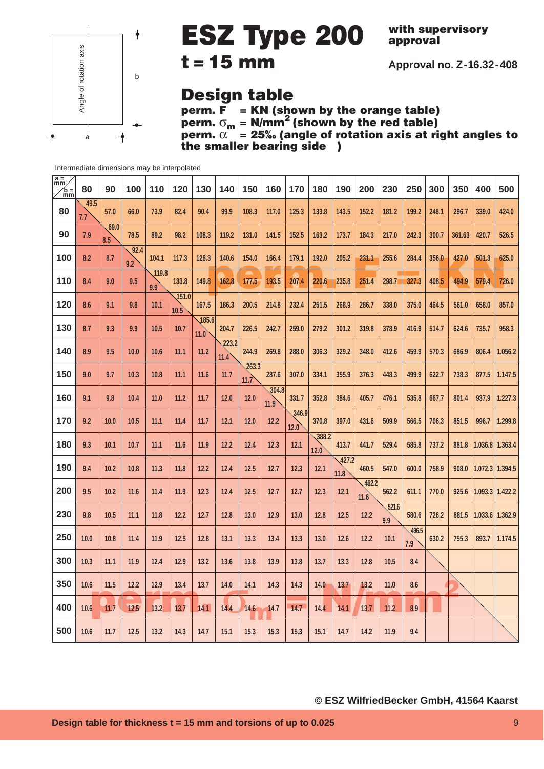

**with supervisory approval**

**Approval no. Z-16.32-408**

### **Design table**

**perm. F = KN (shown by the orange table) perm.** σ**<sup>m</sup> = N/mm2 (shown by the red table) perm.** α **= 25‰ (angle of rotation axis at right angles to** *the smaller bearing side* )

| $\frac{a}{mm}$<br>$\int_{m}^{b}$ | 80          | 90          | 100         | 110          | 120           | 130           | 140           | 150           | 160           | 170           | 180           | 190           | 200           | 230          | 250          | 300   | 350    | 400                       | 500     |
|----------------------------------|-------------|-------------|-------------|--------------|---------------|---------------|---------------|---------------|---------------|---------------|---------------|---------------|---------------|--------------|--------------|-------|--------|---------------------------|---------|
| 80                               | 49.5<br>7.7 | 57.0        | 66.0        | 73.9         | 82.4          | 90.4          | 99.9          | 108.3         | 117.0         | 125.3         | 133.8         | 143.5         | 152.2         | 181.2        | 199.2        | 248.1 | 296.7  | 339.0                     | 424.0   |
| 90                               | 7.9         | 69.0<br>8.5 | 78.5        | 89.2         | 98.2          | 108.3         | 119.2         | 131.0         | 141.5         | 152.5         | 163.2         | 173.7         | 184.3         | 217.0        | 242.3        | 300.7 | 361.63 | 420.7                     | 526.5   |
| 100                              | 8.2         | 8.7         | 92.4<br>9.2 | 104.1        | 117.3         | 128.3         | 140.6         | 154.0         | 166.4         | 179.1         | 192.0         | 205.2         | 231.1         | 255.6        | 284.4        | 356.0 | 427.0  | 501.3                     | 625.0   |
| 110                              | 8.4         | 9.0         | 9.5         | 119.8<br>9.9 | 133.8         | 149.8         | 162.8         | 177.5         | 193.5         | 207.4         | 220.6         | 235.8         | 251.4         | 298.7        | 327.3        | 408.5 | 494.9  | 579.4                     | 726.0   |
| 120                              | 8.6         | 9.1         | 9.8         | 10.1         | 151.0<br>10.5 | 167.5         | 186.3         | 200.5         | 214.8         | 232.4         | 251.5         | 268.9         | 286.7         | 338.0        | 375.0        | 464.5 | 561.0  | 658.0                     | 857.0   |
| 130                              | 8.7         | 9.3         | 9.9         | 10.5         | 10.7          | 185.6<br>11.0 | 204.7         | 226.5         | 242.7         | 259.0         | 279.2         | 301.2         | 319.8         | 378.9        | 416.9        | 514.7 | 624.6  | 735.7                     | 958.3   |
| 140                              | 8.9         | 9.5         | 10.0        | 10.6         | 11.1          | 11.2          | 223.2<br>11.4 | 244.9         | 269.8         | 288.0         | 306.3         | 329.2         | 348.0         | 412.6        | 459.9        | 570.3 | 686.9  | 806.4                     | 1.056.2 |
| 150                              | 9.0         | 9.7         | 10.3        | 10.8         | 11.1          | 11.6          | 11.7          | 263.3<br>11.7 | 287.6         | 307.0         | 334.1         | 355.9         | 376.3         | 448.3        | 499.9        | 622.7 | 738.3  | 877.5                     | 1.147.5 |
| 160                              | 9.1         | 9.8         | 10.4        | 11.0         | 11.2          | 11.7          | $12.0$        | $12.0$        | 304.8<br>11.9 | 331.7         | 352.8         | 384.6         | 405.7         | 476.1        | 535.8        | 667.7 | 801.4  | 937.9                     | 1.227.3 |
| 170                              | 9.2         | 10.0        | 10.5        | 11.1         | 11.4          | 11.7          | $12.1$        | $12.0$        | $12.2$        | 346.9<br>12.0 | 370.8         | 397.0         | 431.6         | 509.9        | 566.5        | 706.3 | 851.5  | 996.7                     | 1.299.8 |
| 180                              | 9.3         | 10.1        | 10.7        | 11.1         | 11.6          | 11.9          | $12.2$        | $12.4$        | $12.3$        | 12.1          | 388.2<br>12.0 | 413.7         | 441.7         | 529.4        | 585.8        | 737.2 | 881.8  | $1.036.8$   1.363.4       |         |
| 190                              | 9.4         | 10.2        | 10.8        | 11.3         | 11.8          | $12.2$        | $12.4$        | 12.5          | 12.7          | 12.3          | 12.1          | 427.2<br>11.8 | 460.5         | 547.0        | 600.0        | 758.9 |        | 908.0   1.072.3   1.394.5 |         |
| 200                              | 9.5         | 10.2        | 11.6        | 11.4         | 11.9          | 12.3          | 12.4          | 12.5          | 12.7          | 12.7          | 12.3          | 12.1          | 462.2<br>11.6 | 562.2        | 611.1        | 770.0 | 925.6  | $1.093.3$   1.422.2       |         |
| 230                              | 9.8         | 10.5        | 11.1        | 11.8         | 12.2          | 12.7          | 12.8          | 13.0          | 12.9          | 13.0          | 12.8          | 12.5          | $12.2$        | 521.6<br>9.9 | 580.6        | 726.2 |        | 881.5   1.033.6   1.362.9 |         |
| 250                              | 10.0        | 10.8        | 11.4        | 11.9         | 12.5          | 12.8          | 13.1          | 13.3          | 13.4          | 13.3          | 13.0          | 12.6          | 12.2          | 10.1         | 496.5<br>7.9 | 630.2 | 755.3  | 893.7                     | 1.174.5 |
| 300                              | 10.3        | 11.1        | 11.9        | 12.4         | 12.9          | 13.2          | 13.6          | 13.8          | 13.9          | 13.8          | 13.7          | 13.3          | 12.8          | 10.5         | 8.4          |       |        |                           |         |
| 350                              | 10.6        | 11.5        | 12.2        | 12.9         | 13.4          | 13.7          | 14.0          | 14.1          | 14.3          | 14.3          | 14.0          | 13.7          | 13.2          | $11.0$       | 8.6          |       |        |                           |         |
| 400                              | 10.6        | 11.7        | 12.5        | $13.2$       | 13.7          | 14.1          | 14.4          | 14.6          | 14.7          | 14.7          | 14.4          | 14.1          | 13.7          | 11.2         | 8.9          |       |        |                           |         |
| 500                              | 10.6        | 11.7        | 12.5        | 13.2         | 14.3          | 14.7          | 15.1          | 15.3          | 15.3          | 15.3          | 15.1          | 14.7          | 14.2          | 11.9         | 9.4          |       |        |                           |         |

### Intermediate dimensions may be interpolated